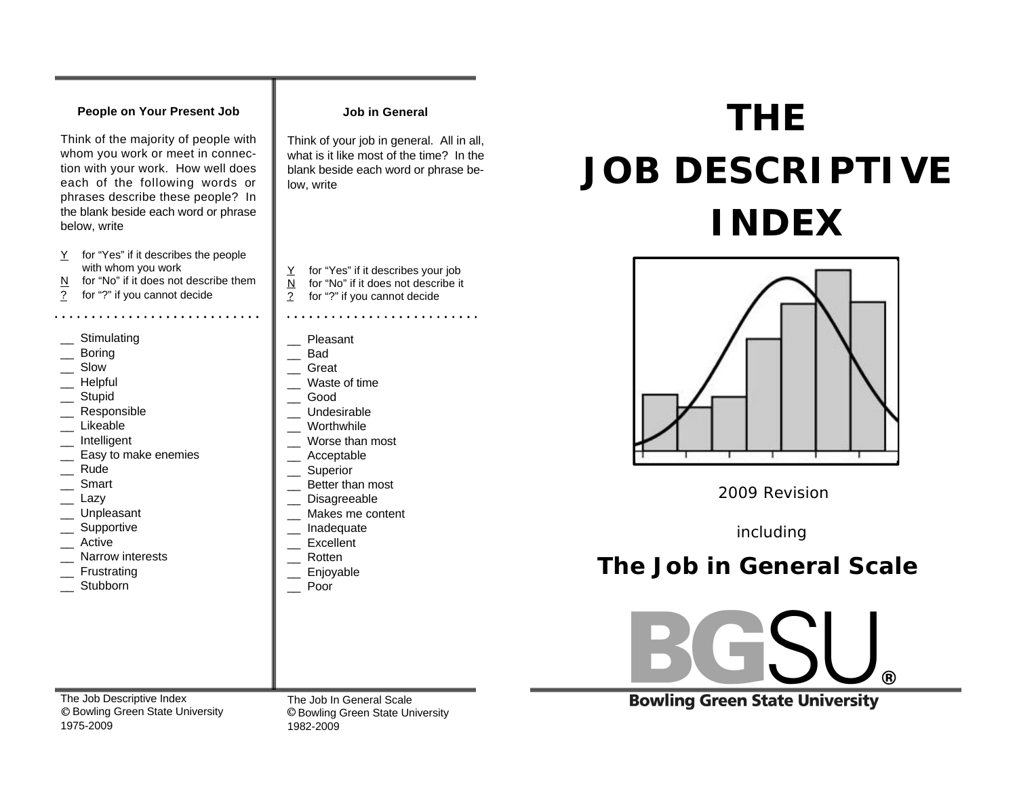## **People on Your Present Job**

Think of the majority of people with whom you work or meet in connection with your work. How well does each of the following words or phrases describe these people? In the blank beside each word or phrase below, write

- Y for "Yes" if it describes the people with whom you work
- N for "No" if it does not describe them
- ? for "?" if you cannot decide

- \_\_ Stimulating
- \_\_ Boring
- \_\_ Slow
- \_\_ Helpful
- **Stupid**
- \_\_ Responsible
- **Likeable**
- \_\_ Intelligent
- Easy to make enemies
- \_\_ Rude
- \_\_ Smart
- \_\_ Lazy
- \_\_ Unpleasant
- \_\_ Supportive
- \_\_ Active
- \_\_ Narrow interests
- \_\_ Frustrating
- \_\_ Stubborn

**Job in General**

Think of your job in general. All in all, what is it like most of the time? In the blank beside each word or phrase below, write

- Y for "Yes" if it describes vour iob  $N$  for "No" if it does not describe it
- ? for "?" if you cannot decide
- 
- **Pleasant**
- \_\_ Bad
- \_\_ Great
- \_\_ Waste of time
- \_\_ Good
- \_\_ Undesirable
- \_\_ Worthwhile
- \_\_ Worse than most
- \_\_ Acceptable
- \_\_ Superior
- \_\_ Better than most
- Disagreeable
- \_\_ Makes me content
- \_\_ Inadequate
- **Excellent**
- \_\_ Rotten
- 
- \_\_ Enjoyable
- \_\_ Poor

 **THE JOB DESCRIPTIVE INDEX** 



\_\_ Rude<br>\_\_ Smart Better than most<br>\_\_ Lazy Disagreeable

 *including*

## **The Job in General Scale**

 $\circledR$ 

**Bowling Green State University** 

The Job Descriptive Index Bowling Green State University 1975-2009

The Job In General Scale Bowling Green State University 1982-2009